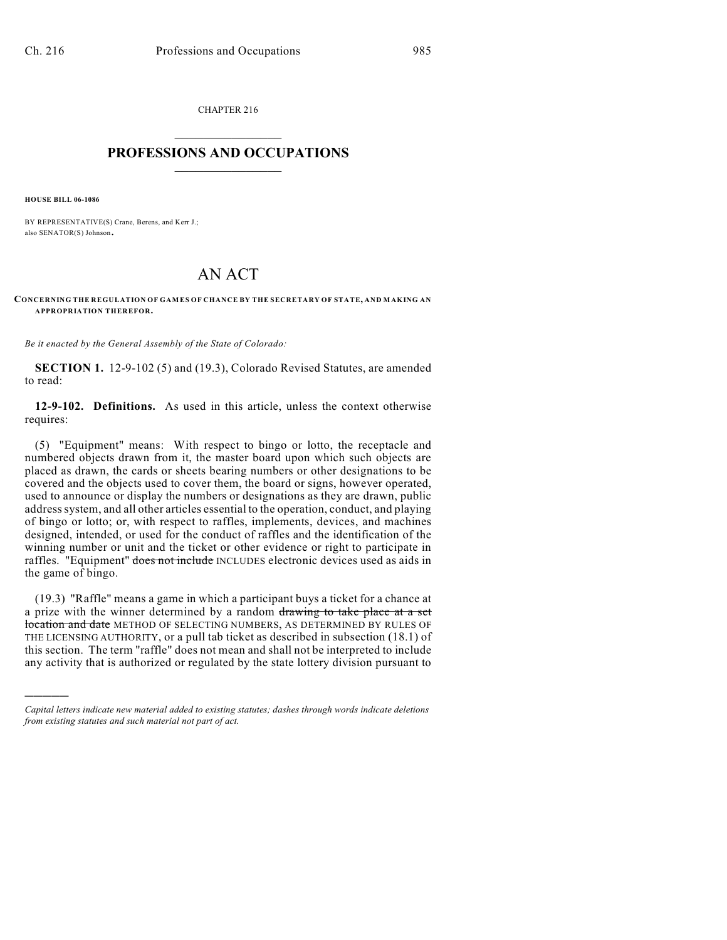CHAPTER 216  $\overline{\phantom{a}}$  . The set of the set of the set of the set of the set of the set of the set of the set of the set of the set of the set of the set of the set of the set of the set of the set of the set of the set of the set o

## **PROFESSIONS AND OCCUPATIONS**  $\frac{1}{2}$  ,  $\frac{1}{2}$  ,  $\frac{1}{2}$  ,  $\frac{1}{2}$  ,  $\frac{1}{2}$  ,  $\frac{1}{2}$

**HOUSE BILL 06-1086**

)))))

BY REPRESENTATIVE(S) Crane, Berens, and Kerr J.; also SENATOR(S) Johnson.

## AN ACT

## **CONCERNING THE REGULATION OF GAMES OF CHANCE BY THE SECRETARY OF STATE, AND MAKING AN APPROPRIATION THEREFOR.**

*Be it enacted by the General Assembly of the State of Colorado:*

**SECTION 1.** 12-9-102 (5) and (19.3), Colorado Revised Statutes, are amended to read:

**12-9-102. Definitions.** As used in this article, unless the context otherwise requires:

(5) "Equipment" means: With respect to bingo or lotto, the receptacle and numbered objects drawn from it, the master board upon which such objects are placed as drawn, the cards or sheets bearing numbers or other designations to be covered and the objects used to cover them, the board or signs, however operated, used to announce or display the numbers or designations as they are drawn, public address system, and all other articles essential to the operation, conduct, and playing of bingo or lotto; or, with respect to raffles, implements, devices, and machines designed, intended, or used for the conduct of raffles and the identification of the winning number or unit and the ticket or other evidence or right to participate in raffles. "Equipment" does not include INCLUDES electronic devices used as aids in the game of bingo.

(19.3) "Raffle" means a game in which a participant buys a ticket for a chance at a prize with the winner determined by a random drawing to take place at a set location and date METHOD OF SELECTING NUMBERS, AS DETERMINED BY RULES OF THE LICENSING AUTHORITY, or a pull tab ticket as described in subsection (18.1) of this section. The term "raffle" does not mean and shall not be interpreted to include any activity that is authorized or regulated by the state lottery division pursuant to

*Capital letters indicate new material added to existing statutes; dashes through words indicate deletions from existing statutes and such material not part of act.*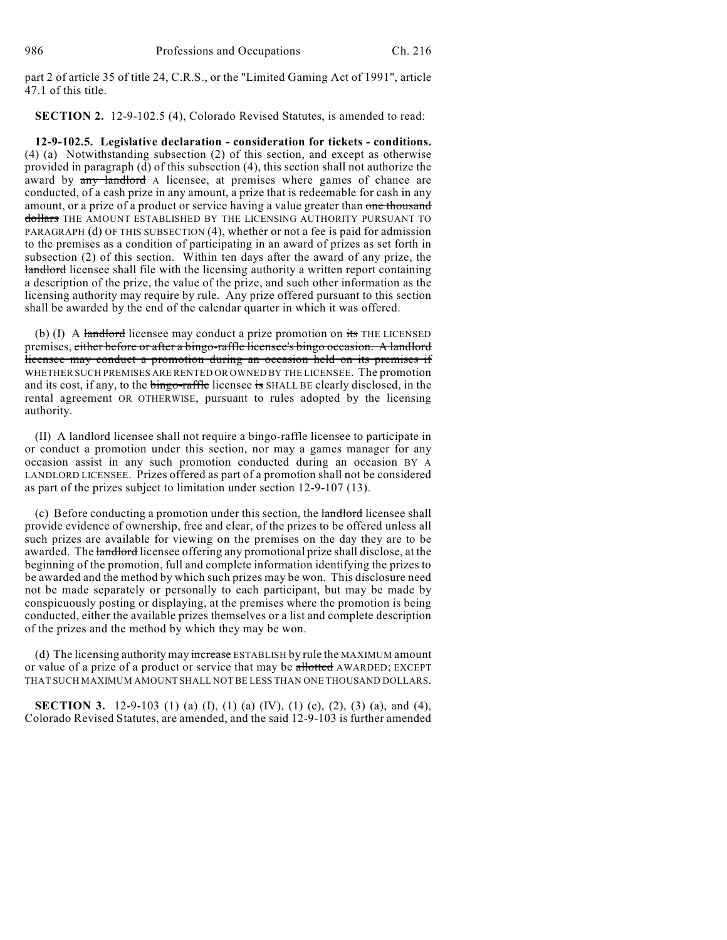part 2 of article 35 of title 24, C.R.S., or the "Limited Gaming Act of 1991", article 47.1 of this title.

**SECTION 2.** 12-9-102.5 (4), Colorado Revised Statutes, is amended to read:

**12-9-102.5. Legislative declaration - consideration for tickets - conditions.** (4) (a) Notwithstanding subsection (2) of this section, and except as otherwise provided in paragraph (d) of this subsection (4), this section shall not authorize the award by any landlord A licensee, at premises where games of chance are conducted, of a cash prize in any amount, a prize that is redeemable for cash in any amount, or a prize of a product or service having a value greater than one thousand dollars THE AMOUNT ESTABLISHED BY THE LICENSING AUTHORITY PURSUANT TO PARAGRAPH (d) OF THIS SUBSECTION (4), whether or not a fee is paid for admission to the premises as a condition of participating in an award of prizes as set forth in subsection (2) of this section. Within ten days after the award of any prize, the landlord licensee shall file with the licensing authority a written report containing a description of the prize, the value of the prize, and such other information as the licensing authority may require by rule. Any prize offered pursuant to this section shall be awarded by the end of the calendar quarter in which it was offered.

(b) (I) A landlord licensee may conduct a prize promotion on its THE LICENSED premises, either before or after a bingo-raffle licensee's bingo occasion. A landlord licensee may conduct a promotion during an occasion held on its premises if WHETHER SUCH PREMISES ARE RENTED OR OWNED BY THE LICENSEE. The promotion and its cost, if any, to the bingo-raffle licensee is SHALL BE clearly disclosed, in the rental agreement OR OTHERWISE, pursuant to rules adopted by the licensing authority.

(II) A landlord licensee shall not require a bingo-raffle licensee to participate in or conduct a promotion under this section, nor may a games manager for any occasion assist in any such promotion conducted during an occasion BY A LANDLORD LICENSEE. Prizes offered as part of a promotion shall not be considered as part of the prizes subject to limitation under section 12-9-107 (13).

(c) Before conducting a promotion under this section, the landlord licensee shall provide evidence of ownership, free and clear, of the prizes to be offered unless all such prizes are available for viewing on the premises on the day they are to be awarded. The landlord licensee offering any promotional prize shall disclose, at the beginning of the promotion, full and complete information identifying the prizes to be awarded and the method by which such prizes may be won. This disclosure need not be made separately or personally to each participant, but may be made by conspicuously posting or displaying, at the premises where the promotion is being conducted, either the available prizes themselves or a list and complete description of the prizes and the method by which they may be won.

(d) The licensing authority may increase ESTABLISH by rule the MAXIMUM amount or value of a prize of a product or service that may be allotted AWARDED; EXCEPT THAT SUCH MAXIMUM AMOUNT SHALL NOT BE LESS THAN ONE THOUSAND DOLLARS.

**SECTION 3.** 12-9-103 (1) (a) (I), (1) (a) (IV), (1) (c), (2), (3) (a), and (4), Colorado Revised Statutes, are amended, and the said 12-9-103 is further amended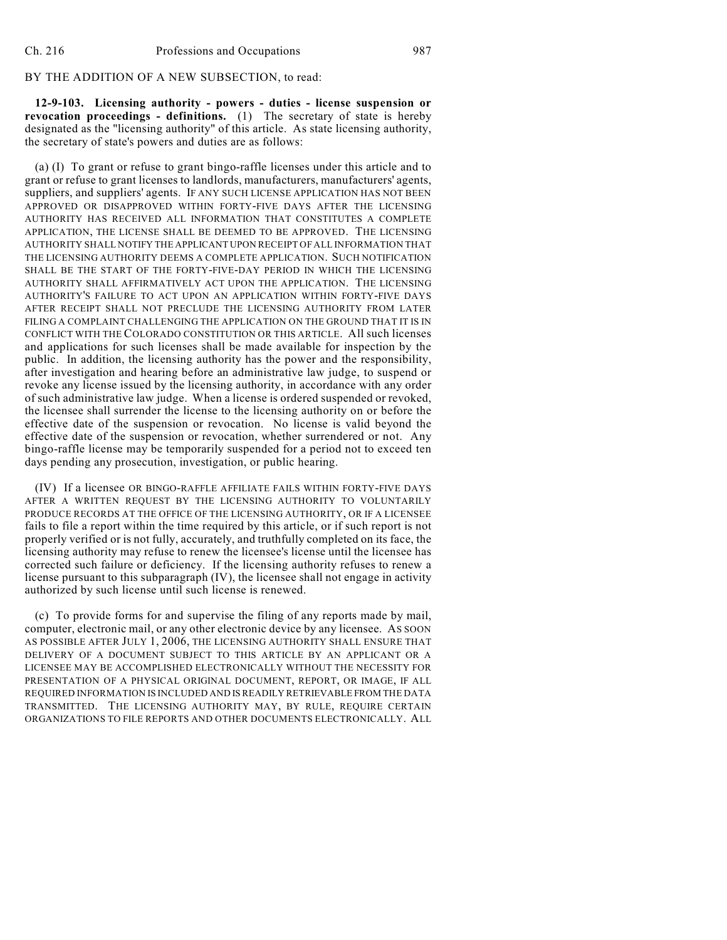## BY THE ADDITION OF A NEW SUBSECTION, to read:

**12-9-103. Licensing authority - powers - duties - license suspension or revocation proceedings - definitions.** (1) The secretary of state is hereby designated as the "licensing authority" of this article. As state licensing authority, the secretary of state's powers and duties are as follows:

(a) (I) To grant or refuse to grant bingo-raffle licenses under this article and to grant or refuse to grant licenses to landlords, manufacturers, manufacturers' agents, suppliers, and suppliers' agents. IF ANY SUCH LICENSE APPLICATION HAS NOT BEEN APPROVED OR DISAPPROVED WITHIN FORTY-FIVE DAYS AFTER THE LICENSING AUTHORITY HAS RECEIVED ALL INFORMATION THAT CONSTITUTES A COMPLETE APPLICATION, THE LICENSE SHALL BE DEEMED TO BE APPROVED. THE LICENSING AUTHORITY SHALL NOTIFY THE APPLICANT UPON RECEIPT OF ALL INFORMATION THAT THE LICENSING AUTHORITY DEEMS A COMPLETE APPLICATION. SUCH NOTIFICATION SHALL BE THE START OF THE FORTY-FIVE-DAY PERIOD IN WHICH THE LICENSING AUTHORITY SHALL AFFIRMATIVELY ACT UPON THE APPLICATION. THE LICENSING AUTHORITY'S FAILURE TO ACT UPON AN APPLICATION WITHIN FORTY-FIVE DAYS AFTER RECEIPT SHALL NOT PRECLUDE THE LICENSING AUTHORITY FROM LATER FILING A COMPLAINT CHALLENGING THE APPLICATION ON THE GROUND THAT IT IS IN CONFLICT WITH THE COLORADO CONSTITUTION OR THIS ARTICLE. All such licenses and applications for such licenses shall be made available for inspection by the public. In addition, the licensing authority has the power and the responsibility, after investigation and hearing before an administrative law judge, to suspend or revoke any license issued by the licensing authority, in accordance with any order of such administrative law judge. When a license is ordered suspended or revoked, the licensee shall surrender the license to the licensing authority on or before the effective date of the suspension or revocation. No license is valid beyond the effective date of the suspension or revocation, whether surrendered or not. Any bingo-raffle license may be temporarily suspended for a period not to exceed ten days pending any prosecution, investigation, or public hearing.

(IV) If a licensee OR BINGO-RAFFLE AFFILIATE FAILS WITHIN FORTY-FIVE DAYS AFTER A WRITTEN REQUEST BY THE LICENSING AUTHORITY TO VOLUNTARILY PRODUCE RECORDS AT THE OFFICE OF THE LICENSING AUTHORITY, OR IF A LICENSEE fails to file a report within the time required by this article, or if such report is not properly verified or is not fully, accurately, and truthfully completed on its face, the licensing authority may refuse to renew the licensee's license until the licensee has corrected such failure or deficiency. If the licensing authority refuses to renew a license pursuant to this subparagraph (IV), the licensee shall not engage in activity authorized by such license until such license is renewed.

(c) To provide forms for and supervise the filing of any reports made by mail, computer, electronic mail, or any other electronic device by any licensee. AS SOON AS POSSIBLE AFTER JULY 1, 2006, THE LICENSING AUTHORITY SHALL ENSURE THAT DELIVERY OF A DOCUMENT SUBJECT TO THIS ARTICLE BY AN APPLICANT OR A LICENSEE MAY BE ACCOMPLISHED ELECTRONICALLY WITHOUT THE NECESSITY FOR PRESENTATION OF A PHYSICAL ORIGINAL DOCUMENT, REPORT, OR IMAGE, IF ALL REQUIRED INFORMATION IS INCLUDED AND IS READILY RETRIEVABLE FROM THE DATA TRANSMITTED. THE LICENSING AUTHORITY MAY, BY RULE, REQUIRE CERTAIN ORGANIZATIONS TO FILE REPORTS AND OTHER DOCUMENTS ELECTRONICALLY. ALL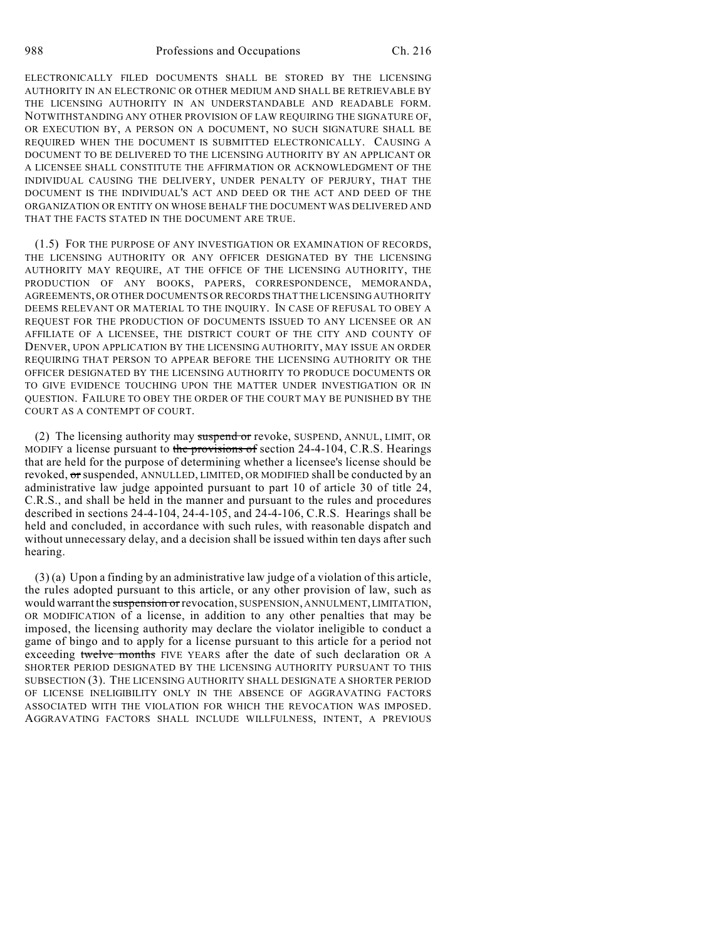ELECTRONICALLY FILED DOCUMENTS SHALL BE STORED BY THE LICENSING AUTHORITY IN AN ELECTRONIC OR OTHER MEDIUM AND SHALL BE RETRIEVABLE BY THE LICENSING AUTHORITY IN AN UNDERSTANDABLE AND READABLE FORM. NOTWITHSTANDING ANY OTHER PROVISION OF LAW REQUIRING THE SIGNATURE OF, OR EXECUTION BY, A PERSON ON A DOCUMENT, NO SUCH SIGNATURE SHALL BE REQUIRED WHEN THE DOCUMENT IS SUBMITTED ELECTRONICALLY. CAUSING A DOCUMENT TO BE DELIVERED TO THE LICENSING AUTHORITY BY AN APPLICANT OR A LICENSEE SHALL CONSTITUTE THE AFFIRMATION OR ACKNOWLEDGMENT OF THE INDIVIDUAL CAUSING THE DELIVERY, UNDER PENALTY OF PERJURY, THAT THE DOCUMENT IS THE INDIVIDUAL'S ACT AND DEED OR THE ACT AND DEED OF THE ORGANIZATION OR ENTITY ON WHOSE BEHALF THE DOCUMENT WAS DELIVERED AND THAT THE FACTS STATED IN THE DOCUMENT ARE TRUE.

(1.5) FOR THE PURPOSE OF ANY INVESTIGATION OR EXAMINATION OF RECORDS, THE LICENSING AUTHORITY OR ANY OFFICER DESIGNATED BY THE LICENSING AUTHORITY MAY REQUIRE, AT THE OFFICE OF THE LICENSING AUTHORITY, THE PRODUCTION OF ANY BOOKS, PAPERS, CORRESPONDENCE, MEMORANDA, AGREEMENTS, OR OTHER DOCUMENTS OR RECORDS THAT THE LICENSING AUTHORITY DEEMS RELEVANT OR MATERIAL TO THE INQUIRY. IN CASE OF REFUSAL TO OBEY A REQUEST FOR THE PRODUCTION OF DOCUMENTS ISSUED TO ANY LICENSEE OR AN AFFILIATE OF A LICENSEE, THE DISTRICT COURT OF THE CITY AND COUNTY OF DENVER, UPON APPLICATION BY THE LICENSING AUTHORITY, MAY ISSUE AN ORDER REQUIRING THAT PERSON TO APPEAR BEFORE THE LICENSING AUTHORITY OR THE OFFICER DESIGNATED BY THE LICENSING AUTHORITY TO PRODUCE DOCUMENTS OR TO GIVE EVIDENCE TOUCHING UPON THE MATTER UNDER INVESTIGATION OR IN QUESTION. FAILURE TO OBEY THE ORDER OF THE COURT MAY BE PUNISHED BY THE COURT AS A CONTEMPT OF COURT.

(2) The licensing authority may suspend or revoke, SUSPEND, ANNUL, LIMIT, OR MODIFY a license pursuant to the provisions of section 24-4-104, C.R.S. Hearings that are held for the purpose of determining whether a licensee's license should be revoked, or suspended, ANNULLED, LIMITED, OR MODIFIED shall be conducted by an administrative law judge appointed pursuant to part 10 of article 30 of title 24, C.R.S., and shall be held in the manner and pursuant to the rules and procedures described in sections 24-4-104, 24-4-105, and 24-4-106, C.R.S. Hearings shall be held and concluded, in accordance with such rules, with reasonable dispatch and without unnecessary delay, and a decision shall be issued within ten days after such hearing.

(3) (a) Upon a finding by an administrative law judge of a violation of this article, the rules adopted pursuant to this article, or any other provision of law, such as would warrant the suspension or revocation, SUSPENSION, ANNULMENT, LIMITATION, OR MODIFICATION of a license, in addition to any other penalties that may be imposed, the licensing authority may declare the violator ineligible to conduct a game of bingo and to apply for a license pursuant to this article for a period not exceeding twelve months FIVE YEARS after the date of such declaration OR A SHORTER PERIOD DESIGNATED BY THE LICENSING AUTHORITY PURSUANT TO THIS SUBSECTION (3). THE LICENSING AUTHORITY SHALL DESIGNATE A SHORTER PERIOD OF LICENSE INELIGIBILITY ONLY IN THE ABSENCE OF AGGRAVATING FACTORS ASSOCIATED WITH THE VIOLATION FOR WHICH THE REVOCATION WAS IMPOSED. AGGRAVATING FACTORS SHALL INCLUDE WILLFULNESS, INTENT, A PREVIOUS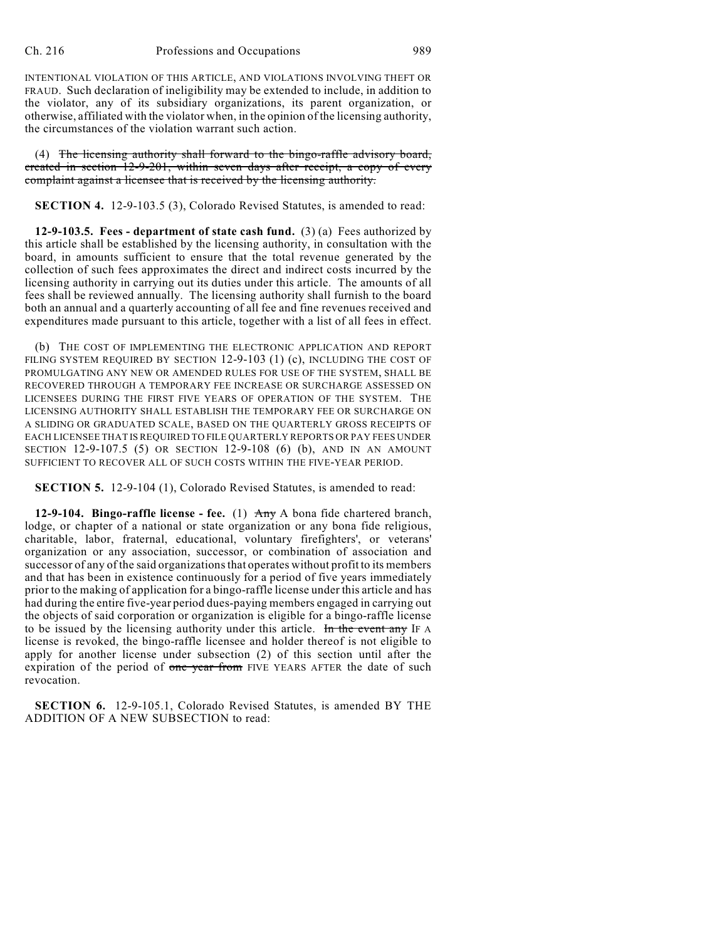INTENTIONAL VIOLATION OF THIS ARTICLE, AND VIOLATIONS INVOLVING THEFT OR FRAUD. Such declaration of ineligibility may be extended to include, in addition to the violator, any of its subsidiary organizations, its parent organization, or otherwise, affiliated with the violator when, in the opinion of the licensing authority, the circumstances of the violation warrant such action.

(4) The licensing authority shall forward to the bingo-raffle advisory board, created in section 12-9-201, within seven days after receipt, a copy of every complaint against a licensee that is received by the licensing authority.

**SECTION 4.** 12-9-103.5 (3), Colorado Revised Statutes, is amended to read:

**12-9-103.5. Fees - department of state cash fund.** (3) (a) Fees authorized by this article shall be established by the licensing authority, in consultation with the board, in amounts sufficient to ensure that the total revenue generated by the collection of such fees approximates the direct and indirect costs incurred by the licensing authority in carrying out its duties under this article. The amounts of all fees shall be reviewed annually. The licensing authority shall furnish to the board both an annual and a quarterly accounting of all fee and fine revenues received and expenditures made pursuant to this article, together with a list of all fees in effect.

(b) THE COST OF IMPLEMENTING THE ELECTRONIC APPLICATION AND REPORT FILING SYSTEM REQUIRED BY SECTION 12-9-103 (1) (c), INCLUDING THE COST OF PROMULGATING ANY NEW OR AMENDED RULES FOR USE OF THE SYSTEM, SHALL BE RECOVERED THROUGH A TEMPORARY FEE INCREASE OR SURCHARGE ASSESSED ON LICENSEES DURING THE FIRST FIVE YEARS OF OPERATION OF THE SYSTEM. THE LICENSING AUTHORITY SHALL ESTABLISH THE TEMPORARY FEE OR SURCHARGE ON A SLIDING OR GRADUATED SCALE, BASED ON THE QUARTERLY GROSS RECEIPTS OF EACH LICENSEE THAT IS REQUIRED TO FILE QUARTERLY REPORTS OR PAY FEES UNDER SECTION 12-9-107.5 (5) OR SECTION 12-9-108 (6) (b), AND IN AN AMOUNT SUFFICIENT TO RECOVER ALL OF SUCH COSTS WITHIN THE FIVE-YEAR PERIOD.

**SECTION 5.** 12-9-104 (1), Colorado Revised Statutes, is amended to read:

**12-9-104. Bingo-raffle license - fee.** (1) Any A bona fide chartered branch, lodge, or chapter of a national or state organization or any bona fide religious, charitable, labor, fraternal, educational, voluntary firefighters', or veterans' organization or any association, successor, or combination of association and successor of any of the said organizations that operates without profit to its members and that has been in existence continuously for a period of five years immediately prior to the making of application for a bingo-raffle license under this article and has had during the entire five-year period dues-paying members engaged in carrying out the objects of said corporation or organization is eligible for a bingo-raffle license to be issued by the licensing authority under this article. In the event any IF A license is revoked, the bingo-raffle licensee and holder thereof is not eligible to apply for another license under subsection (2) of this section until after the expiration of the period of one year from FIVE YEARS AFTER the date of such revocation.

**SECTION 6.** 12-9-105.1, Colorado Revised Statutes, is amended BY THE ADDITION OF A NEW SUBSECTION to read: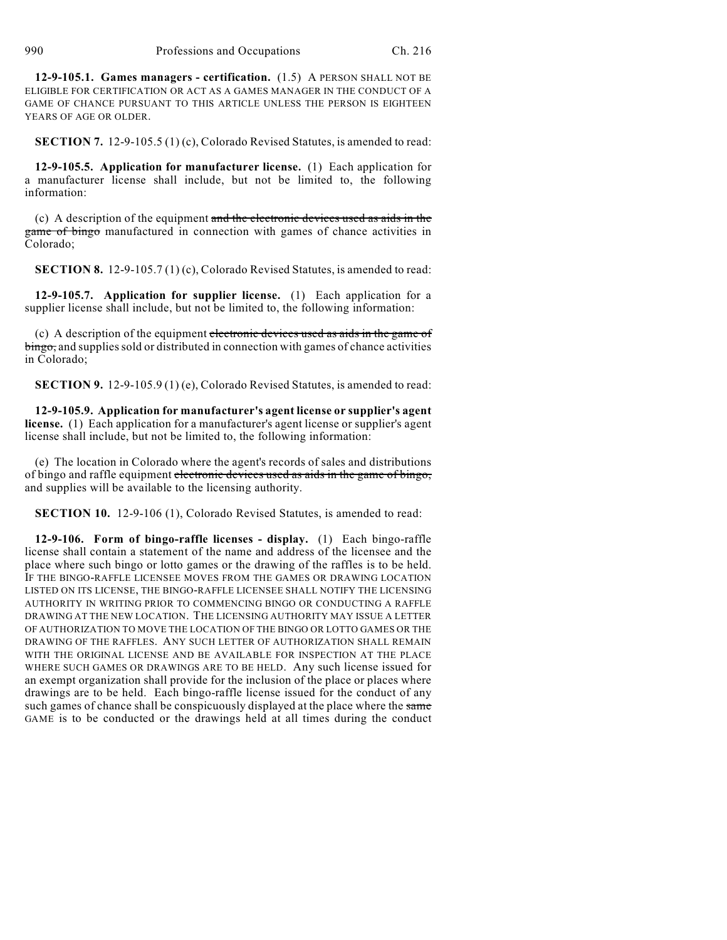**12-9-105.1. Games managers - certification.** (1.5) A PERSON SHALL NOT BE ELIGIBLE FOR CERTIFICATION OR ACT AS A GAMES MANAGER IN THE CONDUCT OF A GAME OF CHANCE PURSUANT TO THIS ARTICLE UNLESS THE PERSON IS EIGHTEEN YEARS OF AGE OR OLDER.

**SECTION 7.** 12-9-105.5 (1) (c), Colorado Revised Statutes, is amended to read:

**12-9-105.5. Application for manufacturer license.** (1) Each application for a manufacturer license shall include, but not be limited to, the following information:

(c) A description of the equipment and the electronic devices used as aids in the game of bingo manufactured in connection with games of chance activities in Colorado;

**SECTION 8.** 12-9-105.7 (1) (c), Colorado Revised Statutes, is amended to read:

**12-9-105.7. Application for supplier license.** (1) Each application for a supplier license shall include, but not be limited to, the following information:

(c) A description of the equipment electronic devices used as aids in the game of bingo, and supplies sold or distributed in connection with games of chance activities in Colorado;

**SECTION 9.** 12-9-105.9 (1) (e), Colorado Revised Statutes, is amended to read:

**12-9-105.9. Application for manufacturer's agent license or supplier's agent license.** (1) Each application for a manufacturer's agent license or supplier's agent license shall include, but not be limited to, the following information:

(e) The location in Colorado where the agent's records of sales and distributions of bingo and raffle equipment electronic devices used as aids in the game of bingo, and supplies will be available to the licensing authority.

**SECTION 10.** 12-9-106 (1), Colorado Revised Statutes, is amended to read:

**12-9-106. Form of bingo-raffle licenses - display.** (1) Each bingo-raffle license shall contain a statement of the name and address of the licensee and the place where such bingo or lotto games or the drawing of the raffles is to be held. IF THE BINGO-RAFFLE LICENSEE MOVES FROM THE GAMES OR DRAWING LOCATION LISTED ON ITS LICENSE, THE BINGO-RAFFLE LICENSEE SHALL NOTIFY THE LICENSING AUTHORITY IN WRITING PRIOR TO COMMENCING BINGO OR CONDUCTING A RAFFLE DRAWING AT THE NEW LOCATION. THE LICENSING AUTHORITY MAY ISSUE A LETTER OF AUTHORIZATION TO MOVE THE LOCATION OF THE BINGO OR LOTTO GAMES OR THE DRAWING OF THE RAFFLES. ANY SUCH LETTER OF AUTHORIZATION SHALL REMAIN WITH THE ORIGINAL LICENSE AND BE AVAILABLE FOR INSPECTION AT THE PLACE WHERE SUCH GAMES OR DRAWINGS ARE TO BE HELD. Any such license issued for an exempt organization shall provide for the inclusion of the place or places where drawings are to be held. Each bingo-raffle license issued for the conduct of any such games of chance shall be conspicuously displayed at the place where the same GAME is to be conducted or the drawings held at all times during the conduct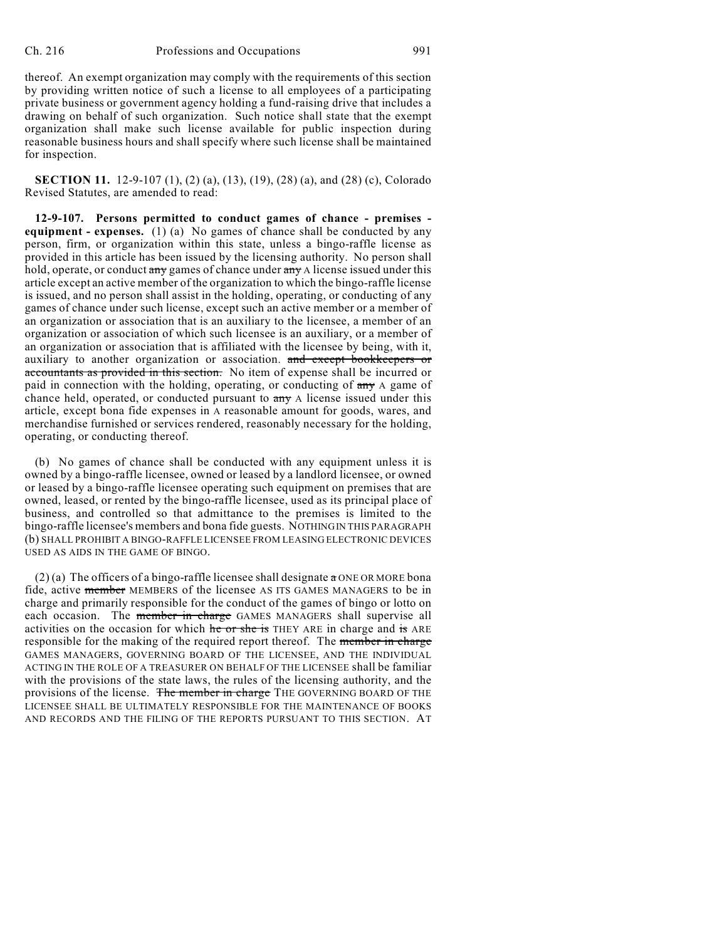thereof. An exempt organization may comply with the requirements of this section by providing written notice of such a license to all employees of a participating private business or government agency holding a fund-raising drive that includes a drawing on behalf of such organization. Such notice shall state that the exempt organization shall make such license available for public inspection during reasonable business hours and shall specify where such license shall be maintained for inspection.

**SECTION 11.** 12-9-107 (1), (2) (a), (13), (19), (28) (a), and (28) (c), Colorado Revised Statutes, are amended to read:

**12-9-107. Persons permitted to conduct games of chance - premises equipment - expenses.** (1) (a) No games of chance shall be conducted by any person, firm, or organization within this state, unless a bingo-raffle license as provided in this article has been issued by the licensing authority. No person shall hold, operate, or conduct  $\frac{1}{(m+1)}$  games of chance under  $\frac{1}{(m+1)}$  a license issued under this article except an active member of the organization to which the bingo-raffle license is issued, and no person shall assist in the holding, operating, or conducting of any games of chance under such license, except such an active member or a member of an organization or association that is an auxiliary to the licensee, a member of an organization or association of which such licensee is an auxiliary, or a member of an organization or association that is affiliated with the licensee by being, with it, auxiliary to another organization or association. and except bookkeepers or accountants as provided in this section. No item of expense shall be incurred or paid in connection with the holding, operating, or conducting of any A game of chance held, operated, or conducted pursuant to  $\frac{1}{x}$  A license issued under this article, except bona fide expenses in A reasonable amount for goods, wares, and merchandise furnished or services rendered, reasonably necessary for the holding, operating, or conducting thereof.

(b) No games of chance shall be conducted with any equipment unless it is owned by a bingo-raffle licensee, owned or leased by a landlord licensee, or owned or leased by a bingo-raffle licensee operating such equipment on premises that are owned, leased, or rented by the bingo-raffle licensee, used as its principal place of business, and controlled so that admittance to the premises is limited to the bingo-raffle licensee's members and bona fide guests. NOTHING IN THIS PARAGRAPH (b) SHALL PROHIBIT A BINGO-RAFFLE LICENSEE FROM LEASING ELECTRONIC DEVICES USED AS AIDS IN THE GAME OF BINGO.

(2) (a) The officers of a bingo-raffle licensee shall designate  $\alpha$  ONE OR MORE bona fide, active member MEMBERS of the licensee AS ITS GAMES MANAGERS to be in charge and primarily responsible for the conduct of the games of bingo or lotto on each occasion. The member in charge GAMES MANAGERS shall supervise all activities on the occasion for which he or she is THEY ARE in charge and is ARE responsible for the making of the required report thereof. The member in charge GAMES MANAGERS, GOVERNING BOARD OF THE LICENSEE, AND THE INDIVIDUAL ACTING IN THE ROLE OF A TREASURER ON BEHALF OF THE LICENSEE shall be familiar with the provisions of the state laws, the rules of the licensing authority, and the provisions of the license. The member in charge THE GOVERNING BOARD OF THE LICENSEE SHALL BE ULTIMATELY RESPONSIBLE FOR THE MAINTENANCE OF BOOKS AND RECORDS AND THE FILING OF THE REPORTS PURSUANT TO THIS SECTION. AT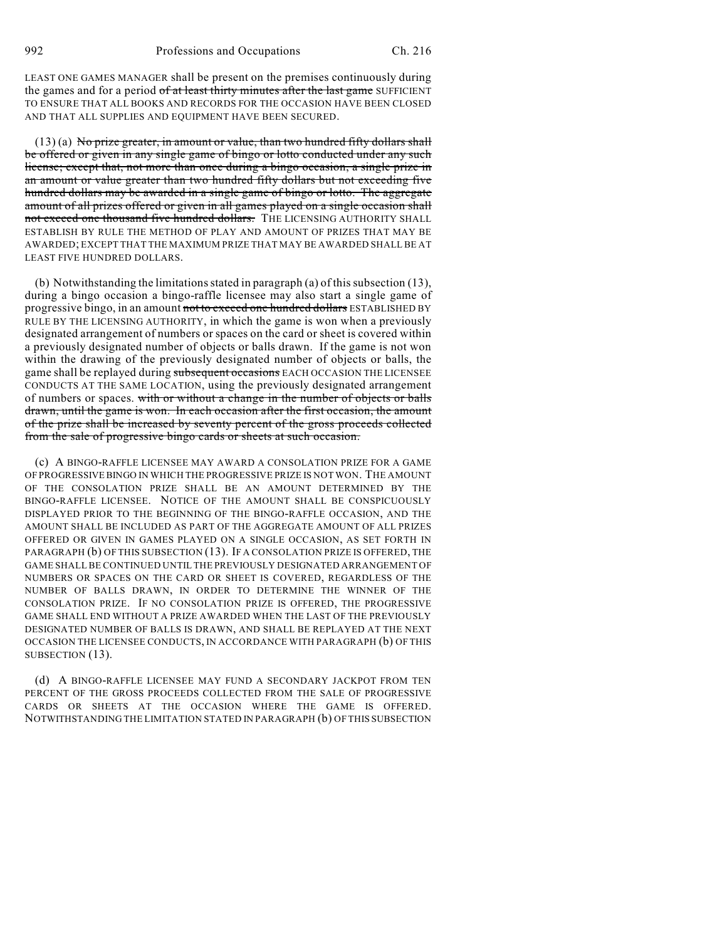LEAST ONE GAMES MANAGER shall be present on the premises continuously during the games and for a period of at least thirty minutes after the last game SUFFICIENT TO ENSURE THAT ALL BOOKS AND RECORDS FOR THE OCCASION HAVE BEEN CLOSED AND THAT ALL SUPPLIES AND EQUIPMENT HAVE BEEN SECURED.

(13) (a) No prize greater, in amount or value, than two hundred fifty dollars shall be offered or given in any single game of bingo or lotto conducted under any such license; except that, not more than once during a bingo occasion, a single prize in an amount or value greater than two hundred fifty dollars but not exceeding five hundred dollars may be awarded in a single game of bingo or lotto. The aggregate amount of all prizes offered or given in all games played on a single occasion shall not exceed one thousand five hundred dollars. THE LICENSING AUTHORITY SHALL ESTABLISH BY RULE THE METHOD OF PLAY AND AMOUNT OF PRIZES THAT MAY BE AWARDED; EXCEPT THAT THE MAXIMUM PRIZE THAT MAY BE AWARDED SHALL BE AT LEAST FIVE HUNDRED DOLLARS.

(b) Notwithstanding the limitations stated in paragraph (a) of this subsection (13), during a bingo occasion a bingo-raffle licensee may also start a single game of progressive bingo, in an amount not to exceed one hundred dollars ESTABLISHED BY RULE BY THE LICENSING AUTHORITY, in which the game is won when a previously designated arrangement of numbers or spaces on the card or sheet is covered within a previously designated number of objects or balls drawn. If the game is not won within the drawing of the previously designated number of objects or balls, the game shall be replayed during subsequent occasions EACH OCCASION THE LICENSEE CONDUCTS AT THE SAME LOCATION, using the previously designated arrangement of numbers or spaces. with or without a change in the number of objects or balls drawn, until the game is won. In each occasion after the first occasion, the amount of the prize shall be increased by seventy percent of the gross proceeds collected from the sale of progressive bingo cards or sheets at such occasion.

(c) A BINGO-RAFFLE LICENSEE MAY AWARD A CONSOLATION PRIZE FOR A GAME OF PROGRESSIVE BINGO IN WHICH THE PROGRESSIVE PRIZE IS NOT WON. THE AMOUNT OF THE CONSOLATION PRIZE SHALL BE AN AMOUNT DETERMINED BY THE BINGO-RAFFLE LICENSEE. NOTICE OF THE AMOUNT SHALL BE CONSPICUOUSLY DISPLAYED PRIOR TO THE BEGINNING OF THE BINGO-RAFFLE OCCASION, AND THE AMOUNT SHALL BE INCLUDED AS PART OF THE AGGREGATE AMOUNT OF ALL PRIZES OFFERED OR GIVEN IN GAMES PLAYED ON A SINGLE OCCASION, AS SET FORTH IN PARAGRAPH (b) OF THIS SUBSECTION (13). IF A CONSOLATION PRIZE IS OFFERED, THE GAME SHALL BE CONTINUED UNTIL THE PREVIOUSLY DESIGNATED ARRANGEMENT OF NUMBERS OR SPACES ON THE CARD OR SHEET IS COVERED, REGARDLESS OF THE NUMBER OF BALLS DRAWN, IN ORDER TO DETERMINE THE WINNER OF THE CONSOLATION PRIZE. IF NO CONSOLATION PRIZE IS OFFERED, THE PROGRESSIVE GAME SHALL END WITHOUT A PRIZE AWARDED WHEN THE LAST OF THE PREVIOUSLY DESIGNATED NUMBER OF BALLS IS DRAWN, AND SHALL BE REPLAYED AT THE NEXT OCCASION THE LICENSEE CONDUCTS, IN ACCORDANCE WITH PARAGRAPH (b) OF THIS SUBSECTION (13).

(d) A BINGO-RAFFLE LICENSEE MAY FUND A SECONDARY JACKPOT FROM TEN PERCENT OF THE GROSS PROCEEDS COLLECTED FROM THE SALE OF PROGRESSIVE CARDS OR SHEETS AT THE OCCASION WHERE THE GAME IS OFFERED. NOTWITHSTANDING THE LIMITATION STATED IN PARAGRAPH (b) OF THIS SUBSECTION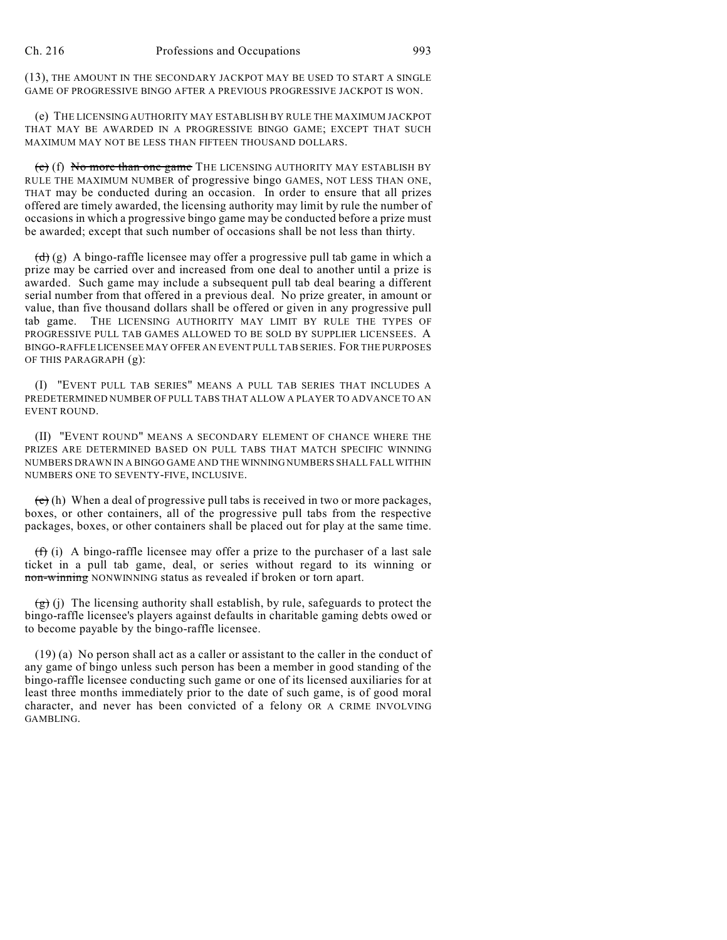(13), THE AMOUNT IN THE SECONDARY JACKPOT MAY BE USED TO START A SINGLE GAME OF PROGRESSIVE BINGO AFTER A PREVIOUS PROGRESSIVE JACKPOT IS WON.

(e) THE LICENSING AUTHORITY MAY ESTABLISH BY RULE THE MAXIMUM JACKPOT THAT MAY BE AWARDED IN A PROGRESSIVE BINGO GAME; EXCEPT THAT SUCH MAXIMUM MAY NOT BE LESS THAN FIFTEEN THOUSAND DOLLARS.

 $(c)$  (f) No more than one game THE LICENSING AUTHORITY MAY ESTABLISH BY RULE THE MAXIMUM NUMBER of progressive bingo GAMES, NOT LESS THAN ONE, THAT may be conducted during an occasion. In order to ensure that all prizes offered are timely awarded, the licensing authority may limit by rule the number of occasions in which a progressive bingo game may be conducted before a prize must be awarded; except that such number of occasions shall be not less than thirty.

 $(d)$  (g) A bingo-raffle licensee may offer a progressive pull tab game in which a prize may be carried over and increased from one deal to another until a prize is awarded. Such game may include a subsequent pull tab deal bearing a different serial number from that offered in a previous deal. No prize greater, in amount or value, than five thousand dollars shall be offered or given in any progressive pull tab game. THE LICENSING AUTHORITY MAY LIMIT BY RULE THE TYPES OF PROGRESSIVE PULL TAB GAMES ALLOWED TO BE SOLD BY SUPPLIER LICENSEES. A BINGO-RAFFLE LICENSEE MAY OFFER AN EVENT PULL TAB SERIES. FOR THE PURPOSES OF THIS PARAGRAPH (g):

(I) "EVENT PULL TAB SERIES" MEANS A PULL TAB SERIES THAT INCLUDES A PREDETERMINED NUMBER OF PULL TABS THAT ALLOW A PLAYER TO ADVANCE TO AN EVENT ROUND.

(II) "EVENT ROUND" MEANS A SECONDARY ELEMENT OF CHANCE WHERE THE PRIZES ARE DETERMINED BASED ON PULL TABS THAT MATCH SPECIFIC WINNING NUMBERS DRAWN IN A BINGO GAME AND THE WINNING NUMBERS SHALL FALL WITHIN NUMBERS ONE TO SEVENTY-FIVE, INCLUSIVE.

 $(e)$  (h) When a deal of progressive pull tabs is received in two or more packages, boxes, or other containers, all of the progressive pull tabs from the respective packages, boxes, or other containers shall be placed out for play at the same time.

 $(f)$  (i) A bingo-raffle licensee may offer a prize to the purchaser of a last sale ticket in a pull tab game, deal, or series without regard to its winning or non-winning NONWINNING status as revealed if broken or torn apart.

 $\left(\frac{g}{g}\right)$  (i) The licensing authority shall establish, by rule, safeguards to protect the bingo-raffle licensee's players against defaults in charitable gaming debts owed or to become payable by the bingo-raffle licensee.

(19) (a) No person shall act as a caller or assistant to the caller in the conduct of any game of bingo unless such person has been a member in good standing of the bingo-raffle licensee conducting such game or one of its licensed auxiliaries for at least three months immediately prior to the date of such game, is of good moral character, and never has been convicted of a felony OR A CRIME INVOLVING GAMBLING.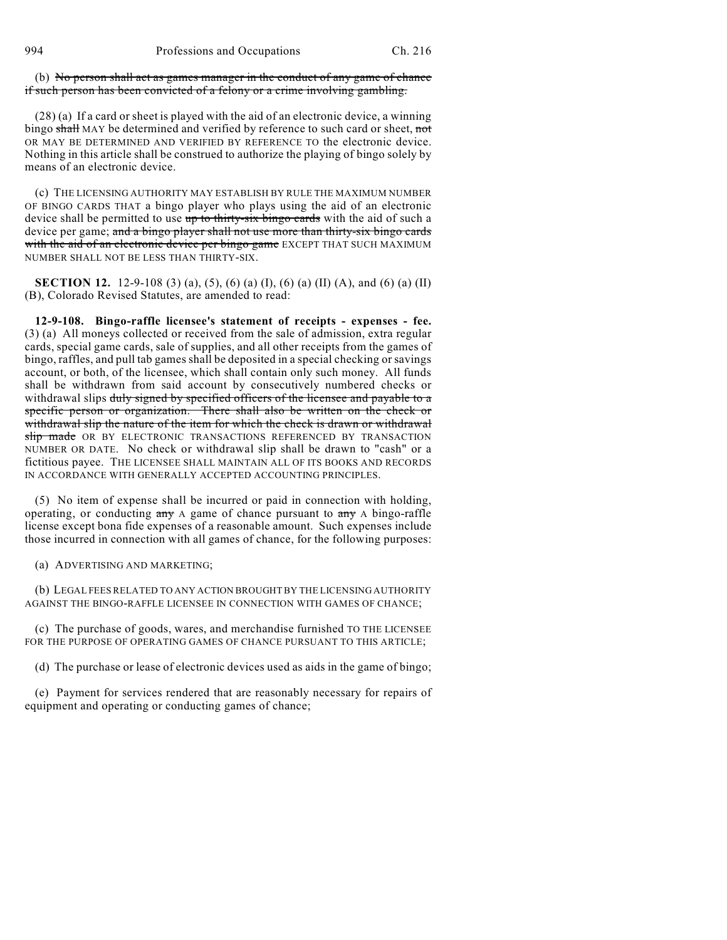994 Professions and Occupations Ch. 216

(b) No person shall act as games manager in the conduct of any game of chance if such person has been convicted of a felony or a crime involving gambling.

(28) (a) If a card or sheet is played with the aid of an electronic device, a winning bingo shall MAY be determined and verified by reference to such card or sheet, not OR MAY BE DETERMINED AND VERIFIED BY REFERENCE TO the electronic device. Nothing in this article shall be construed to authorize the playing of bingo solely by means of an electronic device.

(c) THE LICENSING AUTHORITY MAY ESTABLISH BY RULE THE MAXIMUM NUMBER OF BINGO CARDS THAT a bingo player who plays using the aid of an electronic device shall be permitted to use up to thirty-six bingo cards with the aid of such a device per game; and a bingo player shall not use more than thirty-six bingo cards with the aid of an electronic device per bingo game EXCEPT THAT SUCH MAXIMUM NUMBER SHALL NOT BE LESS THAN THIRTY-SIX.

**SECTION 12.** 12-9-108 (3) (a), (5), (6) (a) (I), (6) (a) (II) (A), and (6) (a) (II) (B), Colorado Revised Statutes, are amended to read:

**12-9-108. Bingo-raffle licensee's statement of receipts - expenses - fee.** (3) (a) All moneys collected or received from the sale of admission, extra regular cards, special game cards, sale of supplies, and all other receipts from the games of bingo, raffles, and pull tab games shall be deposited in a special checking or savings account, or both, of the licensee, which shall contain only such money. All funds shall be withdrawn from said account by consecutively numbered checks or withdrawal slips duly signed by specified officers of the licensee and payable to a specific person or organization. There shall also be written on the check or withdrawal slip the nature of the item for which the check is drawn or withdrawal slip made OR BY ELECTRONIC TRANSACTIONS REFERENCED BY TRANSACTION NUMBER OR DATE. No check or withdrawal slip shall be drawn to "cash" or a fictitious payee. THE LICENSEE SHALL MAINTAIN ALL OF ITS BOOKS AND RECORDS IN ACCORDANCE WITH GENERALLY ACCEPTED ACCOUNTING PRINCIPLES.

(5) No item of expense shall be incurred or paid in connection with holding, operating, or conducting  $\frac{1}{2}$  any A game of chance pursuant to  $\frac{1}{2}$  A bingo-raffle license except bona fide expenses of a reasonable amount. Such expenses include those incurred in connection with all games of chance, for the following purposes:

(a) ADVERTISING AND MARKETING;

(b) LEGAL FEES RELATED TO ANY ACTION BROUGHT BY THE LICENSING AUTHORITY AGAINST THE BINGO-RAFFLE LICENSEE IN CONNECTION WITH GAMES OF CHANCE;

(c) The purchase of goods, wares, and merchandise furnished TO THE LICENSEE FOR THE PURPOSE OF OPERATING GAMES OF CHANCE PURSUANT TO THIS ARTICLE;

(d) The purchase or lease of electronic devices used as aids in the game of bingo;

(e) Payment for services rendered that are reasonably necessary for repairs of equipment and operating or conducting games of chance;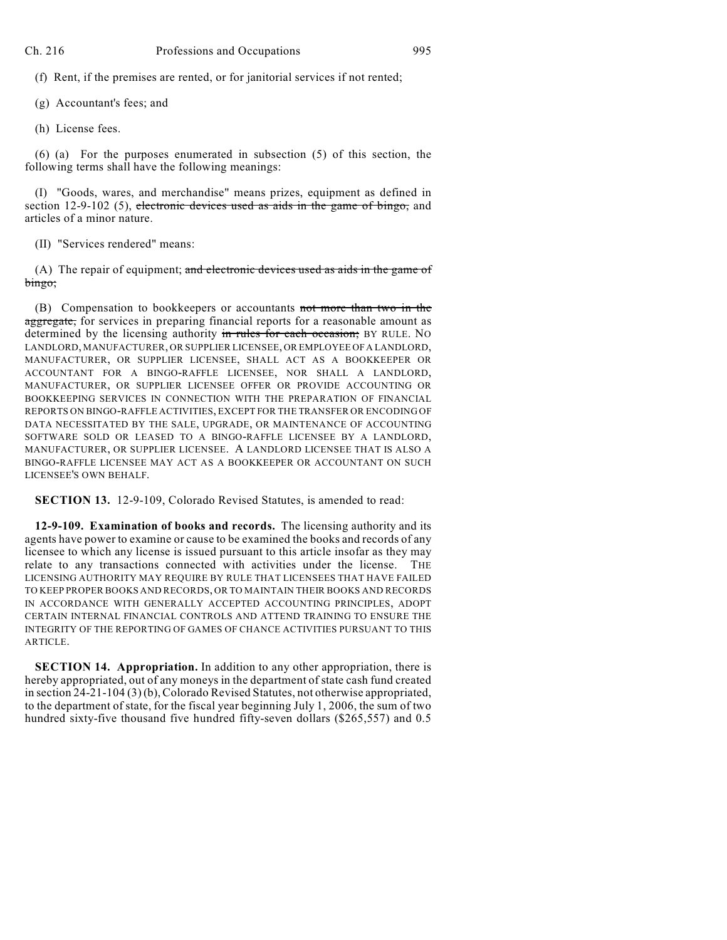(f) Rent, if the premises are rented, or for janitorial services if not rented;

- (g) Accountant's fees; and
- (h) License fees.

(6) (a) For the purposes enumerated in subsection (5) of this section, the following terms shall have the following meanings:

(I) "Goods, wares, and merchandise" means prizes, equipment as defined in section 12-9-102 (5), electronic devices used as aids in the game of bingo, and articles of a minor nature.

(II) "Services rendered" means:

(A) The repair of equipment; and electronic devices used as aids in the game of bingo;

(B) Compensation to bookkeepers or accountants not more than two in the aggregate, for services in preparing financial reports for a reasonable amount as determined by the licensing authority in rules for each occasion; BY RULE. NO LANDLORD, MANUFACTURER, OR SUPPLIER LICENSEE, OR EMPLOYEE OF A LANDLORD, MANUFACTURER, OR SUPPLIER LICENSEE, SHALL ACT AS A BOOKKEEPER OR ACCOUNTANT FOR A BINGO-RAFFLE LICENSEE, NOR SHALL A LANDLORD, MANUFACTURER, OR SUPPLIER LICENSEE OFFER OR PROVIDE ACCOUNTING OR BOOKKEEPING SERVICES IN CONNECTION WITH THE PREPARATION OF FINANCIAL REPORTS ON BINGO-RAFFLE ACTIVITIES, EXCEPT FOR THE TRANSFER OR ENCODING OF DATA NECESSITATED BY THE SALE, UPGRADE, OR MAINTENANCE OF ACCOUNTING SOFTWARE SOLD OR LEASED TO A BINGO-RAFFLE LICENSEE BY A LANDLORD, MANUFACTURER, OR SUPPLIER LICENSEE. A LANDLORD LICENSEE THAT IS ALSO A BINGO-RAFFLE LICENSEE MAY ACT AS A BOOKKEEPER OR ACCOUNTANT ON SUCH LICENSEE'S OWN BEHALF.

**SECTION 13.** 12-9-109, Colorado Revised Statutes, is amended to read:

**12-9-109. Examination of books and records.** The licensing authority and its agents have power to examine or cause to be examined the books and records of any licensee to which any license is issued pursuant to this article insofar as they may relate to any transactions connected with activities under the license. THE LICENSING AUTHORITY MAY REQUIRE BY RULE THAT LICENSEES THAT HAVE FAILED TO KEEP PROPER BOOKS AND RECORDS, OR TO MAINTAIN THEIR BOOKS AND RECORDS IN ACCORDANCE WITH GENERALLY ACCEPTED ACCOUNTING PRINCIPLES, ADOPT CERTAIN INTERNAL FINANCIAL CONTROLS AND ATTEND TRAINING TO ENSURE THE INTEGRITY OF THE REPORTING OF GAMES OF CHANCE ACTIVITIES PURSUANT TO THIS ARTICLE.

**SECTION 14. Appropriation.** In addition to any other appropriation, there is hereby appropriated, out of any moneys in the department of state cash fund created in section 24-21-104 (3) (b), Colorado Revised Statutes, not otherwise appropriated, to the department of state, for the fiscal year beginning July 1, 2006, the sum of two hundred sixty-five thousand five hundred fifty-seven dollars (\$265,557) and 0.5